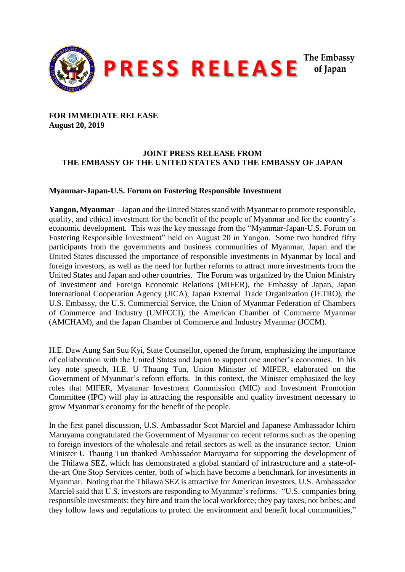

**FOR IMMEDIATE RELEASE August 20, 2019** 

## **JOINT PRESS RELEASE FROM THE EMBASSY OF THE UNITED STATES AND THE EMBASSY OF JAPAN**

## **Myanmar-Japan-U.S. Forum on Fostering Responsible Investment**

**Yangon, Myanmar** – Japan and the United States stand with Myanmar to promote responsible, quality, and ethical investment for the benefit of the people of Myanmar and for the country's economic development. This was the key message from the "Myanmar-Japan-U.S. Forum on Fostering Responsible Investment" held on August 20 in Yangon. Some two hundred fifty participants from the governments and business communities of Myanmar, Japan and the United States discussed the importance of responsible investments in Myanmar by local and foreign investors, as well as the need for further reforms to attract more investments from the United States and Japan and other countries. The Forum was organized by the Union Ministry of Investment and Foreign Economic Relations (MIFER), the Embassy of Japan, Japan International Cooperation Agency (JICA), Japan External Trade Organization (JETRO), the U.S. Embassy, the U.S. Commercial Service, the Union of Myanmar Federation of Chambers of Commerce and Industry (UMFCCI), the American Chamber of Commerce Myanmar (AMCHAM), and the Japan Chamber of Commerce and Industry Myanmar (JCCM).

H.E. Daw Aung San Suu Kyi, State Counsellor, opened the forum, emphasizing the importance of collaboration with the United States and Japan to support one another's economies. In his key note speech, H.E. U Thaung Tun, Union Minister of MIFER, elaborated on the Government of Myanmar's reform efforts. In this context, the Minister emphasized the key roles that MIFER, Myanmar Investment Commission (MIC) and Investment Promotion Committee (IPC) will play in attracting the responsible and quality investment necessary to grow Myanmar's economy for the benefit of the people.

In the first panel discussion, U.S. Ambassador Scot Marciel and Japanese Ambassador Ichiro Maruyama congratulated the Government of Myanmar on recent reforms such as the opening to foreign investors of the wholesale and retail sectors as well as the insurance sector. Union Minister U Thaung Tun thanked Ambassador Maruyama for supporting the development of the Thilawa SEZ, which has demonstrated a global standard of infrastructure and a state-ofthe-art One Stop Services center, both of which have become a benchmark for investments in Myanmar. Noting that the Thilawa SEZ is attractive for American investors, U.S. Ambassador Marciel said that U.S. investors are responding to Myanmar's reforms. "U.S. companies bring responsible investments: they hire and train the local workforce; they pay taxes, not bribes; and they follow laws and regulations to protect the environment and benefit local communities,"